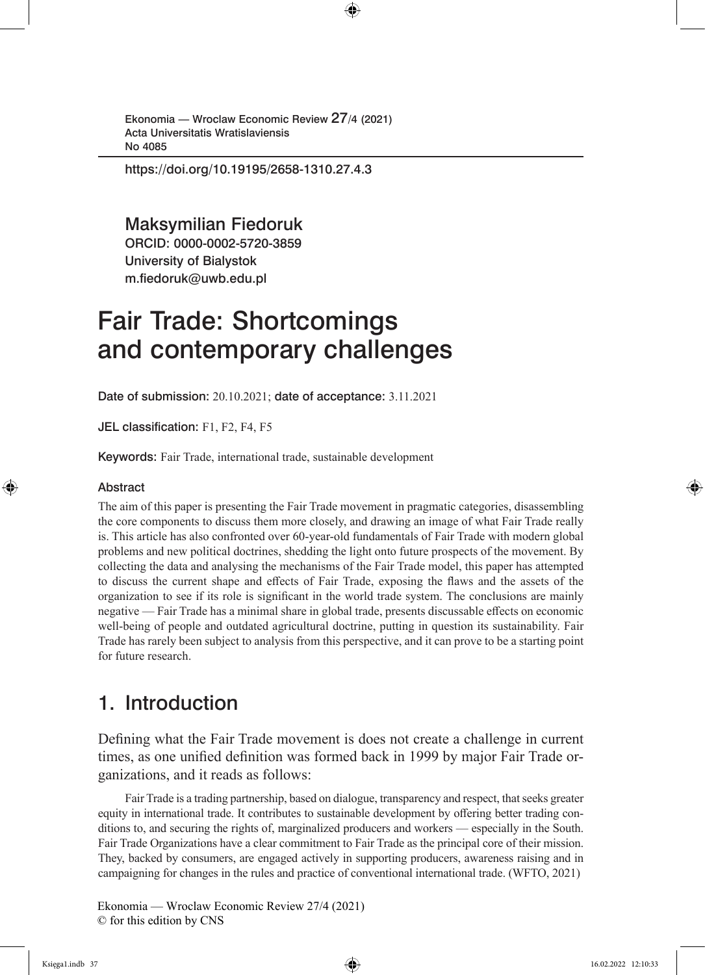https://doi.org/10.19195/2658-1310.27.4.3

Maksymilian Fiedoruk ORCID: 0000-0002-5720-3859

University of Bialystok m.fiedoruk@uwb.edu.pl

# Fair Trade: Shortcomings and contemporary challenges

Date of submission: 20.10.2021; date of acceptance: 3.11.2021

JEL classification: F1, F2, F4, F5

Keywords: Fair Trade, international trade, sustainable development

#### Abstract

The aim of this paper is presenting the Fair Trade movement in pragmatic categories, disassembling the core components to discuss them more closely, and drawing an image of what Fair Trade really is. This article has also confronted over 60-year-old fundamentals of Fair Trade with modern global problems and new political doctrines, shedding the light onto future prospects of the movement. By collecting the data and analysing the mechanisms of the Fair Trade model, this paper has attempted to discuss the current shape and effects of Fair Trade, exposing the flaws and the assets of the organization to see if its role is significant in the world trade system. The conclusions are mainly negative — Fair Trade has a minimal share in global trade, presents discussable effects on economic well-being of people and outdated agricultural doctrine, putting in question its sustainability. Fair Trade has rarely been subject to analysis from this perspective, and it can prove to be a starting point for future research.

## 1. Introduction

Defining what the Fair Trade movement is does not create a challenge in current times, as one unified definition was formed back in 1999 by major Fair Trade organizations, and it reads as follows:

Fair Trade is a trading partnership, based on dialogue, transparency and respect, that seeks greater equity in international trade. It contributes to sustainable development by offering better trading conditions to, and securing the rights of, marginalized producers and workers — especially in the South. Fair Trade Organizations have a clear commitment to Fair Trade as the principal core of their mission. They, backed by consumers, are engaged actively in supporting producers, awareness raising and in campaigning for changes in the rules and practice of conventional international trade. (WFTO, 2021)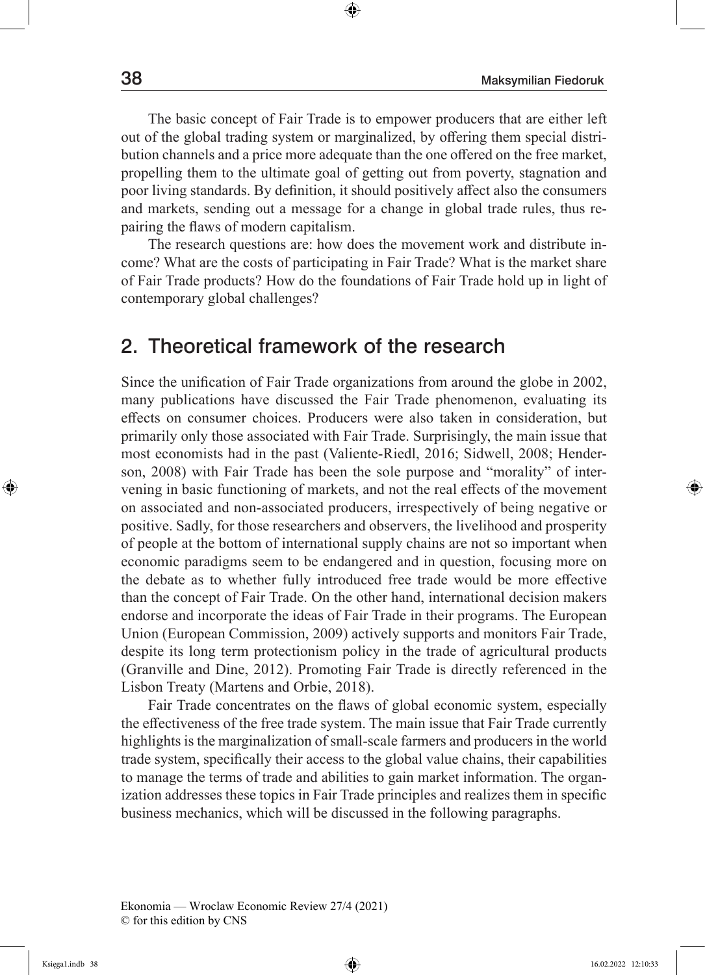The basic concept of Fair Trade is to empower producers that are either left out of the global trading system or marginalized, by offering them special distribution channels and a price more adequate than the one offered on the free market, propelling them to the ultimate goal of getting out from poverty, stagnation and poor living standards. By definition, it should positively affect also the consumers and markets, sending out a message for a change in global trade rules, thus repairing the flaws of modern capitalism.

The research questions are: how does the movement work and distribute income? What are the costs of participating in Fair Trade? What is the market share of Fair Trade products? How do the foundations of Fair Trade hold up in light of contemporary global challenges?

#### 2. Theoretical framework of the research

Since the unification of Fair Trade organizations from around the globe in 2002, many publications have discussed the Fair Trade phenomenon, evaluating its effects on consumer choices. Producers were also taken in consideration, but primarily only those associated with Fair Trade. Surprisingly, the main issue that most economists had in the past (Valiente-Riedl, 2016; Sidwell, 2008; Henderson, 2008) with Fair Trade has been the sole purpose and "morality" of intervening in basic functioning of markets, and not the real effects of the movement on associated and non-associated producers, irrespectively of being negative or positive. Sadly, for those researchers and observers, the livelihood and prosperity of people at the bottom of international supply chains are not so important when economic paradigms seem to be endangered and in question, focusing more on the debate as to whether fully introduced free trade would be more effective than the concept of Fair Trade. On the other hand, international decision makers endorse and incorporate the ideas of Fair Trade in their programs. The European Union (European Commission, 2009) actively supports and monitors Fair Trade, despite its long term protectionism policy in the trade of agricultural products (Granville and Dine, 2012). Promoting Fair Trade is directly referenced in the Lisbon Treaty (Martens and Orbie, 2018).

Fair Trade concentrates on the flaws of global economic system, especially the effectiveness of the free trade system. The main issue that Fair Trade currently highlights is the marginalization of small-scale farmers and producers in the world trade system, specifically their access to the global value chains, their capabilities to manage the terms of trade and abilities to gain market information. The organization addresses these topics in Fair Trade principles and realizes them in specific business mechanics, which will be discussed in the following paragraphs.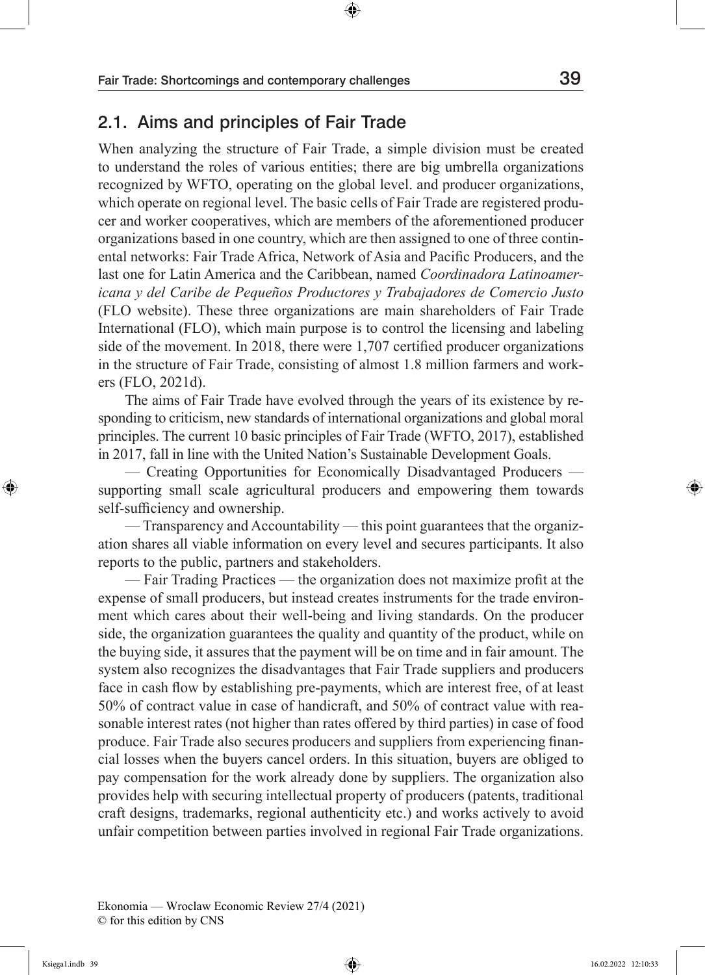#### 2.1. Aims and principles of Fair Trade

When analyzing the structure of Fair Trade, a simple division must be created to understand the roles of various entities; there are big umbrella organizations recognized by WFTO, operating on the global level. and producer organizations, which operate on regional level. The basic cells of Fair Trade are registered producer and worker cooperatives, which are members of the aforementioned producer organizations based in one country, which are then assigned to one of three continental networks: Fair Trade Africa, Network of Asia and Pacific Producers, and the last one for Latin America and the Caribbean, named *Coordinadora Latinoamericana y del Caribe de Pequeños Productores y Trabajadores de Comercio Justo*  (FLO website). These three organizations are main shareholders of Fair Trade International (FLO), which main purpose is to control the licensing and labeling side of the movement. In 2018, there were 1,707 certified producer organizations in the structure of Fair Trade, consisting of almost 1.8 million farmers and workers (FLO, 2021d).

The aims of Fair Trade have evolved through the years of its existence by responding to criticism, new standards of international organizations and global moral principles. The current 10 basic principles of Fair Trade (WFTO, 2017), established in 2017, fall in line with the United Nation's Sustainable Development Goals.

— Creating Opportunities for Economically Disadvantaged Producers supporting small scale agricultural producers and empowering them towards self-sufficiency and ownership.

— Transparency and Accountability — this point guarantees that the organization shares all viable information on every level and secures participants. It also reports to the public, partners and stakeholders.

— Fair Trading Practices — the organization does not maximize profit at the expense of small producers, but instead creates instruments for the trade environment which cares about their well-being and living standards. On the producer side, the organization guarantees the quality and quantity of the product, while on the buying side, it assures that the payment will be on time and in fair amount. The system also recognizes the disadvantages that Fair Trade suppliers and producers face in cash flow by establishing pre-payments, which are interest free, of at least 50% of contract value in case of handicraft, and 50% of contract value with reasonable interest rates (not higher than rates offered by third parties) in case of food produce. Fair Trade also secures producers and suppliers from experiencing financial losses when the buyers cancel orders. In this situation, buyers are obliged to pay compensation for the work already done by suppliers. The organization also provides help with securing intellectual property of producers (patents, traditional craft designs, trademarks, regional authenticity etc.) and works actively to avoid unfair competition between parties involved in regional Fair Trade organizations.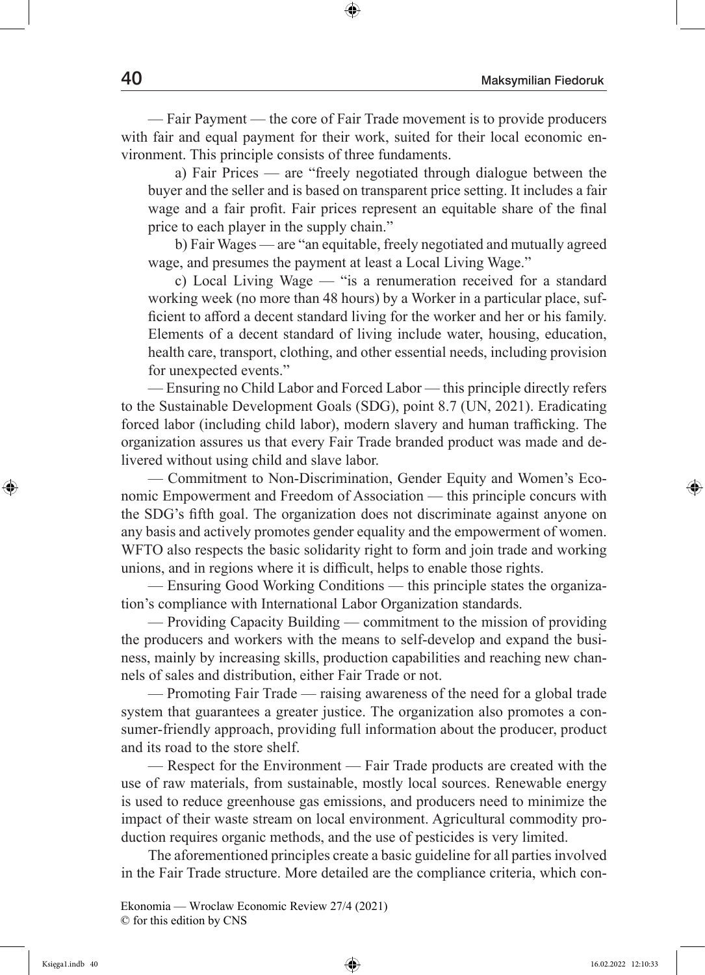— Fair Payment — the core of Fair Trade movement is to provide producers with fair and equal payment for their work, suited for their local economic environment. This principle consists of three fundaments.

a) Fair Prices — are "freely negotiated through dialogue between the buyer and the seller and is based on transparent price setting. It includes a fair wage and a fair profit. Fair prices represent an equitable share of the final price to each player in the supply chain."

b) Fair Wages — are "an equitable, freely negotiated and mutually agreed wage, and presumes the payment at least a Local Living Wage."

c) Local Living Wage — "is a renumeration received for a standard working week (no more than 48 hours) by a Worker in a particular place, sufficient to afford a decent standard living for the worker and her or his family. Elements of a decent standard of living include water, housing, education, health care, transport, clothing, and other essential needs, including provision for unexpected events."

— Ensuring no Child Labor and Forced Labor — this principle directly refers to the Sustainable Development Goals (SDG), point 8.7 (UN, 2021). Eradicating forced labor (including child labor), modern slavery and human trafficking. The organization assures us that every Fair Trade branded product was made and delivered without using child and slave labor.

— Commitment to Non-Discrimination, Gender Equity and Women's Economic Empowerment and Freedom of Association — this principle concurs with the SDG's fifth goal. The organization does not discriminate against anyone on any basis and actively promotes gender equality and the empowerment of women. WFTO also respects the basic solidarity right to form and join trade and working unions, and in regions where it is difficult, helps to enable those rights.

— Ensuring Good Working Conditions — this principle states the organization's compliance with International Labor Organization standards.

— Providing Capacity Building — commitment to the mission of providing the producers and workers with the means to self-develop and expand the business, mainly by increasing skills, production capabilities and reaching new channels of sales and distribution, either Fair Trade or not.

— Promoting Fair Trade — raising awareness of the need for a global trade system that guarantees a greater justice. The organization also promotes a consumer-friendly approach, providing full information about the producer, product and its road to the store shelf.

— Respect for the Environment — Fair Trade products are created with the use of raw materials, from sustainable, mostly local sources. Renewable energy is used to reduce greenhouse gas emissions, and producers need to minimize the impact of their waste stream on local environment. Agricultural commodity production requires organic methods, and the use of pesticides is very limited.

The aforementioned principles create a basic guideline for all parties involved in the Fair Trade structure. More detailed are the compliance criteria, which con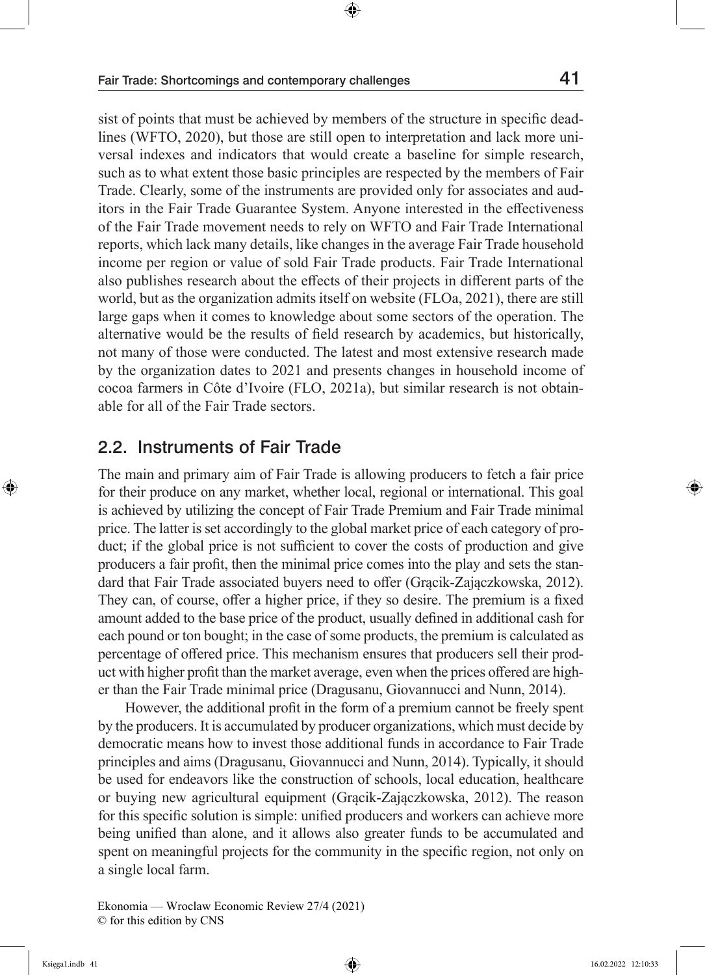sist of points that must be achieved by members of the structure in specific deadlines (WFTO, 2020), but those are still open to interpretation and lack more universal indexes and indicators that would create a baseline for simple research, such as to what extent those basic principles are respected by the members of Fair Trade. Clearly, some of the instruments are provided only for associates and auditors in the Fair Trade Guarantee System. Anyone interested in the effectiveness of the Fair Trade movement needs to rely on WFTO and Fair Trade International reports, which lack many details, like changes in the average Fair Trade household income per region or value of sold Fair Trade products. Fair Trade International also publishes research about the effects of their projects in different parts of the world, but as the organization admits itself on website (FLOa, 2021), there are still large gaps when it comes to knowledge about some sectors of the operation. The

alternative would be the results of field research by academics, but historically, not many of those were conducted. The latest and most extensive research made by the organization dates to 2021 and presents changes in household income of cocoa farmers in Côte d'Ivoire (FLO, 2021a), but similar research is not obtainable for all of the Fair Trade sectors.

#### 2.2. Instruments of Fair Trade

The main and primary aim of Fair Trade is allowing producers to fetch a fair price for their produce on any market, whether local, regional or international. This goal is achieved by utilizing the concept of Fair Trade Premium and Fair Trade minimal price. The latter is set accordingly to the global market price of each category of product; if the global price is not sufficient to cover the costs of production and give producers a fair profit, then the minimal price comes into the play and sets the standard that Fair Trade associated buyers need to offer (Grącik-Zajączkowska, 2012). They can, of course, offer a higher price, if they so desire. The premium is a fixed amount added to the base price of the product, usually defined in additional cash for each pound or ton bought; in the case of some products, the premium is calculated as percentage of offered price. This mechanism ensures that producers sell their product with higher profit than the market average, even when the prices offered are higher than the Fair Trade minimal price (Dragusanu, Giovannucci and Nunn, 2014).

However, the additional profit in the form of a premium cannot be freely spent by the producers. It is accumulated by producer organizations, which must decide by democratic means how to invest those additional funds in accordance to Fair Trade principles and aims (Dragusanu, Giovannucci and Nunn, 2014). Typically, it should be used for endeavors like the construction of schools, local education, healthcare or buying new agricultural equipment (Grącik-Zajączkowska, 2012). The reason for this specific solution is simple: unified producers and workers can achieve more being unified than alone, and it allows also greater funds to be accumulated and spent on meaningful projects for the community in the specific region, not only on a single local farm.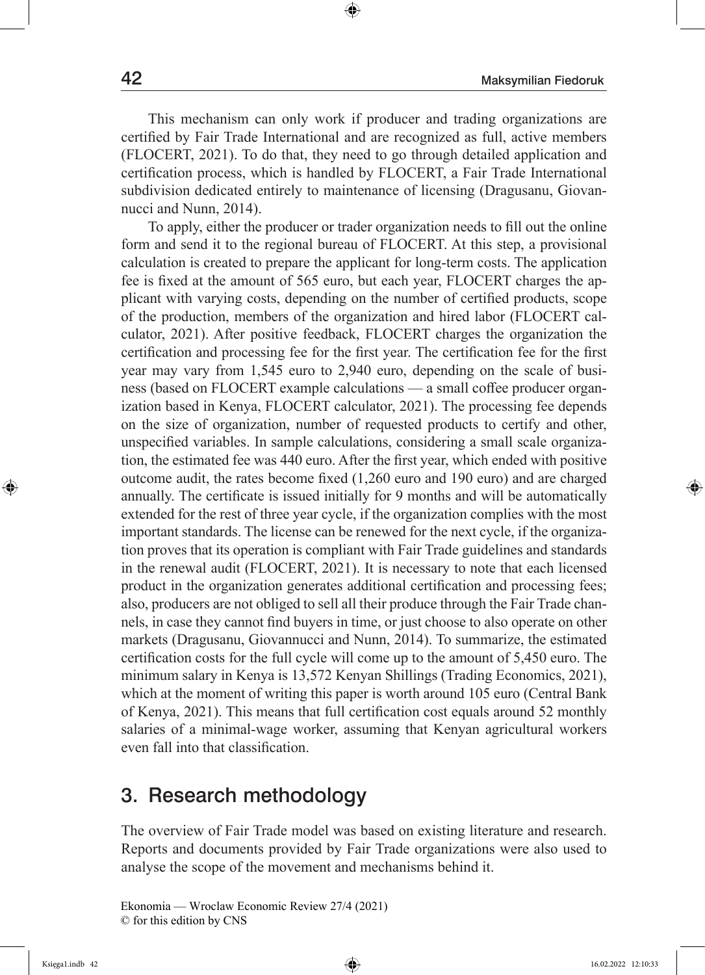This mechanism can only work if producer and trading organizations are certified by Fair Trade International and are recognized as full, active members (FLOCERT, 2021). To do that, they need to go through detailed application and certification process, which is handled by FLOCERT, a Fair Trade International subdivision dedicated entirely to maintenance of licensing (Dragusanu, Giovannucci and Nunn, 2014).

To apply, either the producer or trader organization needs to fill out the online form and send it to the regional bureau of FLOCERT. At this step, a provisional calculation is created to prepare the applicant for long-term costs. The application fee is fixed at the amount of 565 euro, but each year, FLOCERT charges the applicant with varying costs, depending on the number of certified products, scope of the production, members of the organization and hired labor (FLOCERT calculator, 2021). After positive feedback, FLOCERT charges the organization the certification and processing fee for the first year. The certification fee for the first year may vary from 1,545 euro to 2,940 euro, depending on the scale of business (based on FLOCERT example calculations — a small coffee producer organization based in Kenya, FLOCERT calculator, 2021). The processing fee depends on the size of organization, number of requested products to certify and other, unspecified variables. In sample calculations, considering a small scale organization, the estimated fee was 440 euro. After the first year, which ended with positive outcome audit, the rates become fixed (1,260 euro and 190 euro) and are charged annually. The certificate is issued initially for 9 months and will be automatically extended for the rest of three year cycle, if the organization complies with the most important standards. The license can be renewed for the next cycle, if the organization proves that its operation is compliant with Fair Trade guidelines and standards in the renewal audit (FLOCERT, 2021). It is necessary to note that each licensed product in the organization generates additional certification and processing fees; also, producers are not obliged to sell all their produce through the Fair Trade channels, in case they cannot find buyers in time, or just choose to also operate on other markets (Dragusanu, Giovannucci and Nunn, 2014). To summarize, the estimated certification costs for the full cycle will come up to the amount of 5,450 euro. The minimum salary in Kenya is 13,572 Kenyan Shillings (Trading Economics, 2021), which at the moment of writing this paper is worth around 105 euro (Central Bank of Kenya, 2021). This means that full certification cost equals around 52 monthly salaries of a minimal-wage worker, assuming that Kenyan agricultural workers even fall into that classification.

### 3. Research methodology

The overview of Fair Trade model was based on existing literature and research. Reports and documents provided by Fair Trade organizations were also used to analyse the scope of the movement and mechanisms behind it.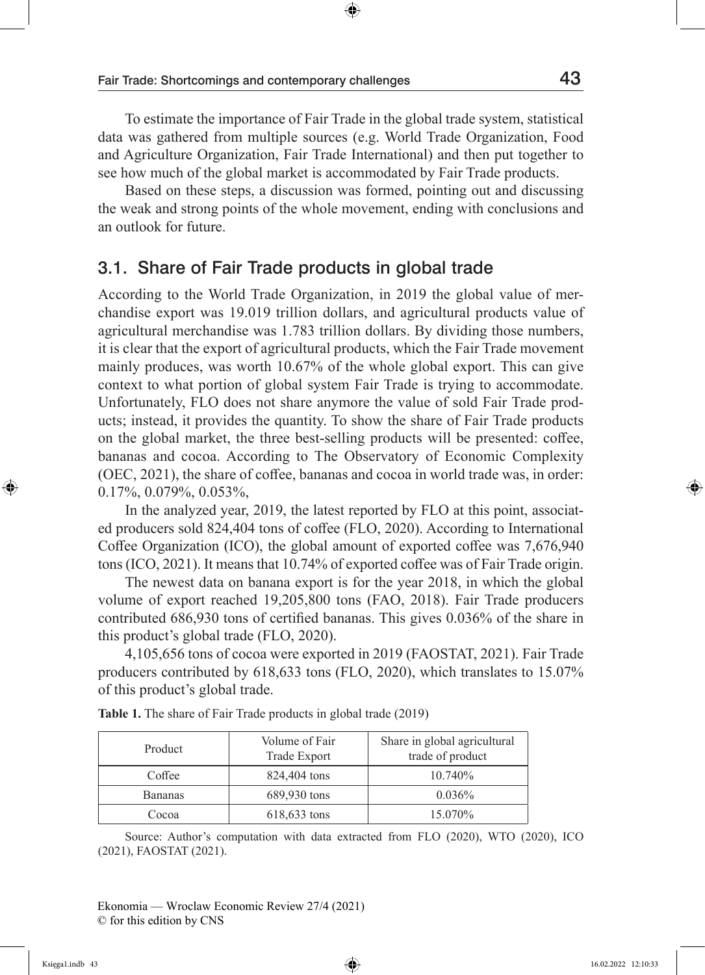To estimate the importance of Fair Trade in the global trade system, statistical data was gathered from multiple sources (e.g. World Trade Organization, Food and Agriculture Organization, Fair Trade International) and then put together to see how much of the global market is accommodated by Fair Trade products.

Based on these steps, a discussion was formed, pointing out and discussing the weak and strong points of the whole movement, ending with conclusions and an outlook for future.

#### 3.1. Share of Fair Trade products in global trade

According to the World Trade Organization, in 2019 the global value of merchandise export was 19.019 trillion dollars, and agricultural products value of agricultural merchandise was 1.783 trillion dollars. By dividing those numbers, it is clear that the export of agricultural products, which the Fair Trade movement mainly produces, was worth 10.67% of the whole global export. This can give context to what portion of global system Fair Trade is trying to accommodate. Unfortunately, FLO does not share anymore the value of sold Fair Trade products; instead, it provides the quantity. To show the share of Fair Trade products on the global market, the three best-selling products will be presented: coffee, bananas and cocoa. According to The Observatory of Economic Complexity (OEC, 2021), the share of coffee, bananas and cocoa in world trade was, in order: 0.17%, 0.079%, 0.053%,

In the analyzed year, 2019, the latest reported by FLO at this point, associated producers sold 824,404 tons of coffee (FLO, 2020). According to International Coffee Organization (ICO), the global amount of exported coffee was 7,676,940 tons (ICO, 2021). It means that 10.74% of exported coffee was of Fair Trade origin.

The newest data on banana export is for the year 2018, in which the global volume of export reached 19,205,800 tons (FAO, 2018). Fair Trade producers contributed 686,930 tons of certified bananas. This gives 0.036% of the share in this product's global trade (FLO, 2020).

4,105,656 tons of cocoa were exported in 2019 (FAOSTAT, 2021). Fair Trade producers contributed by 618,633 tons (FLO, 2020), which translates to 15.07% of this product's global trade.

| Product        | Volume of Fair<br>Trade Export | Share in global agricultural<br>trade of product |
|----------------|--------------------------------|--------------------------------------------------|
| Coffee         | 824,404 tons                   | 10.740\%                                         |
| <b>Bananas</b> | 689,930 tons                   | $0.036\%$                                        |
| Cocoa          | 618,633 tons                   | 15.070%                                          |

**Table 1.** The share of Fair Trade products in global trade (2019)

Source: Author's computation with data extracted from FLO (2020), WTO (2020), ICO (2021), FAOSTAT (2021).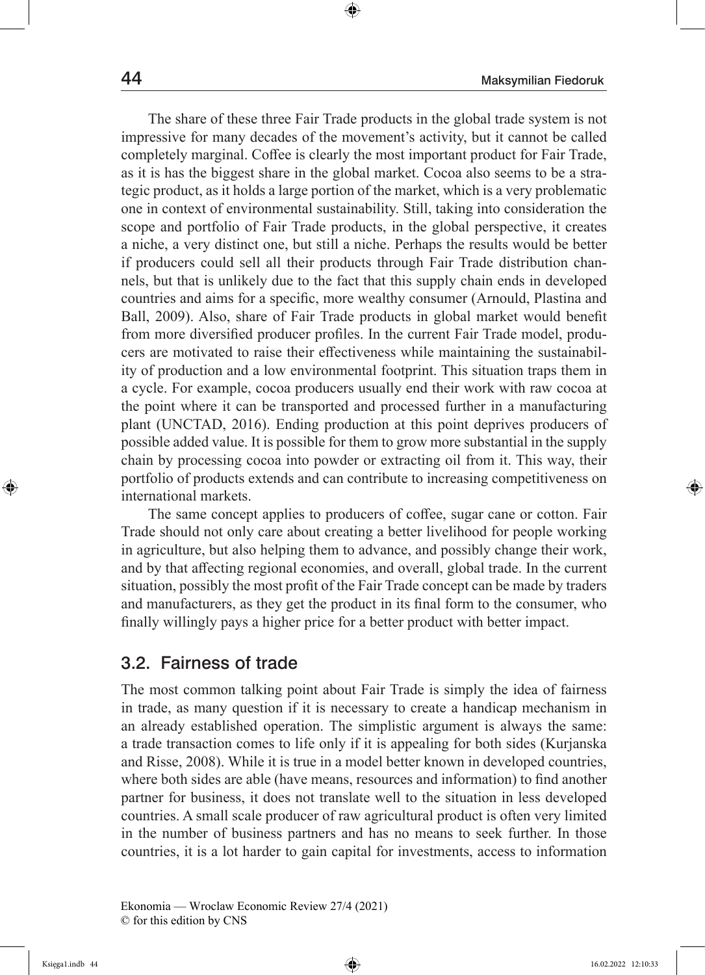The share of these three Fair Trade products in the global trade system is not impressive for many decades of the movement's activity, but it cannot be called completely marginal. Coffee is clearly the most important product for Fair Trade, as it is has the biggest share in the global market. Cocoa also seems to be a strategic product, as it holds a large portion of the market, which is a very problematic one in context of environmental sustainability. Still, taking into consideration the scope and portfolio of Fair Trade products, in the global perspective, it creates a niche, a very distinct one, but still a niche. Perhaps the results would be better if producers could sell all their products through Fair Trade distribution channels, but that is unlikely due to the fact that this supply chain ends in developed countries and aims for a specific, more wealthy consumer (Arnould, Plastina and Ball, 2009). Also, share of Fair Trade products in global market would benefit from more diversified producer profiles. In the current Fair Trade model, producers are motivated to raise their effectiveness while maintaining the sustainability of production and a low environmental footprint. This situation traps them in a cycle. For example, cocoa producers usually end their work with raw cocoa at the point where it can be transported and processed further in a manufacturing plant (UNCTAD, 2016). Ending production at this point deprives producers of possible added value. It is possible for them to grow more substantial in the supply chain by processing cocoa into powder or extracting oil from it. This way, their portfolio of products extends and can contribute to increasing competitiveness on international markets.

The same concept applies to producers of coffee, sugar cane or cotton. Fair Trade should not only care about creating a better livelihood for people working in agriculture, but also helping them to advance, and possibly change their work, and by that affecting regional economies, and overall, global trade. In the current situation, possibly the most profit of the Fair Trade concept can be made by traders and manufacturers, as they get the product in its final form to the consumer, who finally willingly pays a higher price for a better product with better impact.

#### 3.2. Fairness of trade

The most common talking point about Fair Trade is simply the idea of fairness in trade, as many question if it is necessary to create a handicap mechanism in an already established operation. The simplistic argument is always the same: a trade transaction comes to life only if it is appealing for both sides (Kurjanska and Risse, 2008). While it is true in a model better known in developed countries, where both sides are able (have means, resources and information) to find another partner for business, it does not translate well to the situation in less developed countries. A small scale producer of raw agricultural product is often very limited in the number of business partners and has no means to seek further. In those countries, it is a lot harder to gain capital for investments, access to information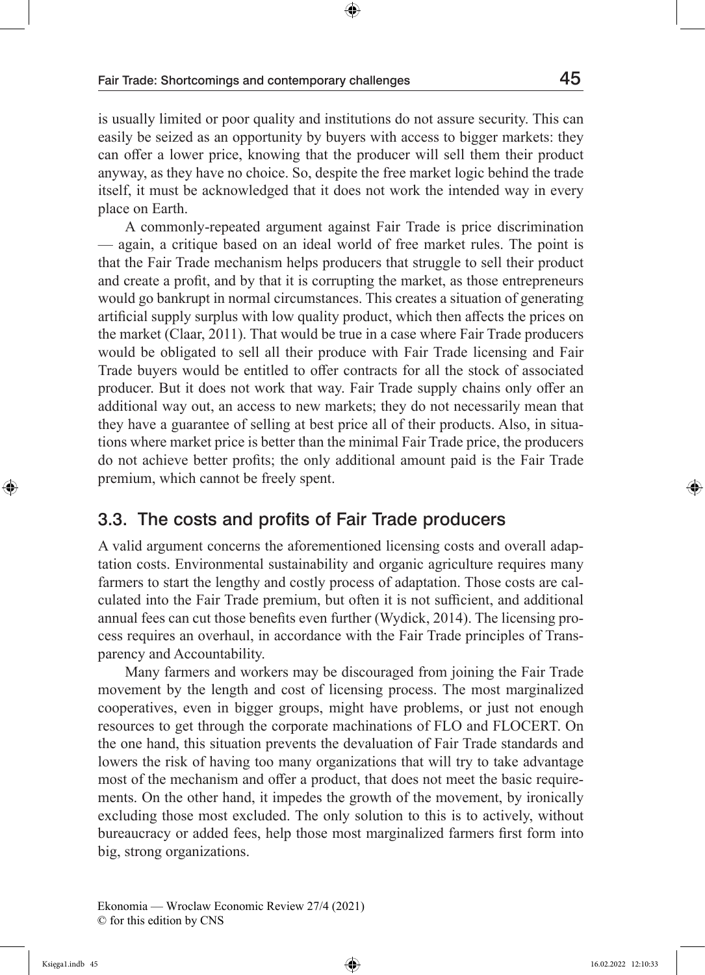is usually limited or poor quality and institutions do not assure security. This can easily be seized as an opportunity by buyers with access to bigger markets: they can offer a lower price, knowing that the producer will sell them their product anyway, as they have no choice. So, despite the free market logic behind the trade itself, it must be acknowledged that it does not work the intended way in every place on Earth.

A commonly-repeated argument against Fair Trade is price discrimination — again, a critique based on an ideal world of free market rules. The point is that the Fair Trade mechanism helps producers that struggle to sell their product and create a profit, and by that it is corrupting the market, as those entrepreneurs would go bankrupt in normal circumstances. This creates a situation of generating artificial supply surplus with low quality product, which then affects the prices on the market (Claar, 2011). That would be true in a case where Fair Trade producers would be obligated to sell all their produce with Fair Trade licensing and Fair Trade buyers would be entitled to offer contracts for all the stock of associated producer. But it does not work that way. Fair Trade supply chains only offer an additional way out, an access to new markets; they do not necessarily mean that they have a guarantee of selling at best price all of their products. Also, in situations where market price is better than the minimal Fair Trade price, the producers do not achieve better profits; the only additional amount paid is the Fair Trade premium, which cannot be freely spent.

#### 3.3. The costs and profits of Fair Trade producers

A valid argument concerns the aforementioned licensing costs and overall adaptation costs. Environmental sustainability and organic agriculture requires many farmers to start the lengthy and costly process of adaptation. Those costs are calculated into the Fair Trade premium, but often it is not sufficient, and additional annual fees can cut those benefits even further (Wydick, 2014). The licensing process requires an overhaul, in accordance with the Fair Trade principles of Transparency and Accountability.

Many farmers and workers may be discouraged from joining the Fair Trade movement by the length and cost of licensing process. The most marginalized cooperatives, even in bigger groups, might have problems, or just not enough resources to get through the corporate machinations of FLO and FLOCERT. On the one hand, this situation prevents the devaluation of Fair Trade standards and lowers the risk of having too many organizations that will try to take advantage most of the mechanism and offer a product, that does not meet the basic requirements. On the other hand, it impedes the growth of the movement, by ironically excluding those most excluded. The only solution to this is to actively, without bureaucracy or added fees, help those most marginalized farmers first form into big, strong organizations.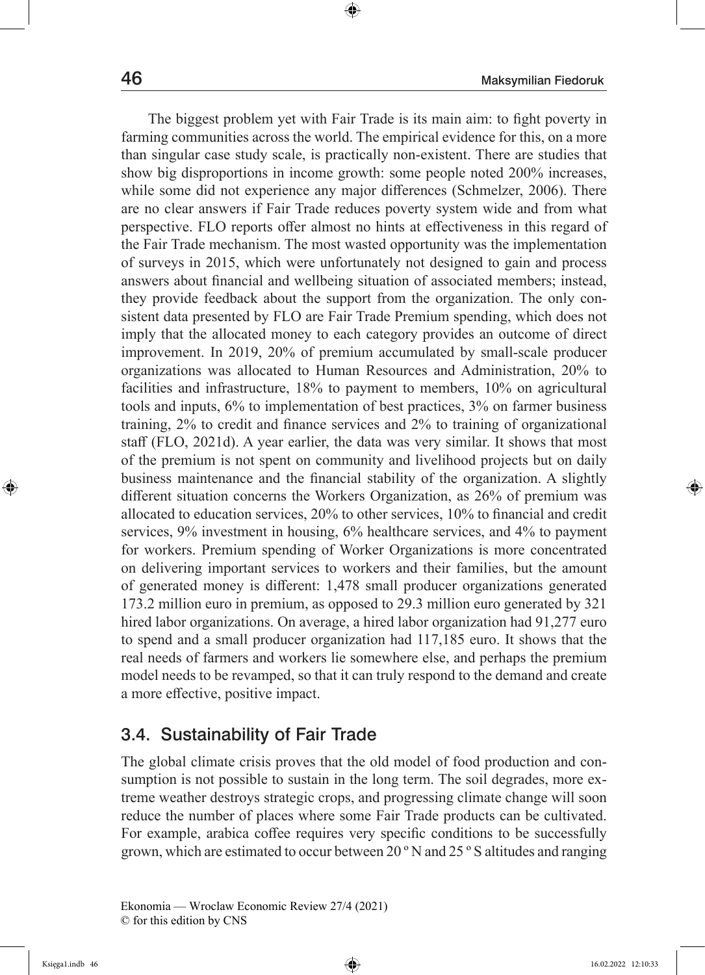The biggest problem yet with Fair Trade is its main aim: to fight poverty in farming communities across the world. The empirical evidence for this, on a more than singular case study scale, is practically non-existent. There are studies that show big disproportions in income growth: some people noted 200% increases, while some did not experience any major differences (Schmelzer, 2006). There are no clear answers if Fair Trade reduces poverty system wide and from what perspective. FLO reports offer almost no hints at effectiveness in this regard of the Fair Trade mechanism. The most wasted opportunity was the implementation of surveys in 2015, which were unfortunately not designed to gain and process answers about financial and wellbeing situation of associated members; instead, they provide feedback about the support from the organization. The only consistent data presented by FLO are Fair Trade Premium spending, which does not imply that the allocated money to each category provides an outcome of direct improvement. In 2019, 20% of premium accumulated by small-scale producer organizations was allocated to Human Resources and Administration, 20% to facilities and infrastructure, 18% to payment to members, 10% on agricultural tools and inputs, 6% to implementation of best practices, 3% on farmer business training, 2% to credit and finance services and 2% to training of organizational staff (FLO, 2021d). A year earlier, the data was very similar. It shows that most of the premium is not spent on community and livelihood projects but on daily business maintenance and the financial stability of the organization. A slightly different situation concerns the Workers Organization, as 26% of premium was allocated to education services, 20% to other services, 10% to financial and credit services, 9% investment in housing, 6% healthcare services, and 4% to payment for workers. Premium spending of Worker Organizations is more concentrated on delivering important services to workers and their families, but the amount of generated money is different: 1,478 small producer organizations generated 173.2 million euro in premium, as opposed to 29.3 million euro generated by 321 hired labor organizations. On average, a hired labor organization had 91,277 euro to spend and a small producer organization had 117,185 euro. It shows that the real needs of farmers and workers lie somewhere else, and perhaps the premium model needs to be revamped, so that it can truly respond to the demand and create a more effective, positive impact.

### 3.4. Sustainability of Fair Trade

The global climate crisis proves that the old model of food production and consumption is not possible to sustain in the long term. The soil degrades, more extreme weather destroys strategic crops, and progressing climate change will soon reduce the number of places where some Fair Trade products can be cultivated. For example, arabica coffee requires very specific conditions to be successfully grown, which are estimated to occur between 20 º N and 25 º S altitudes and ranging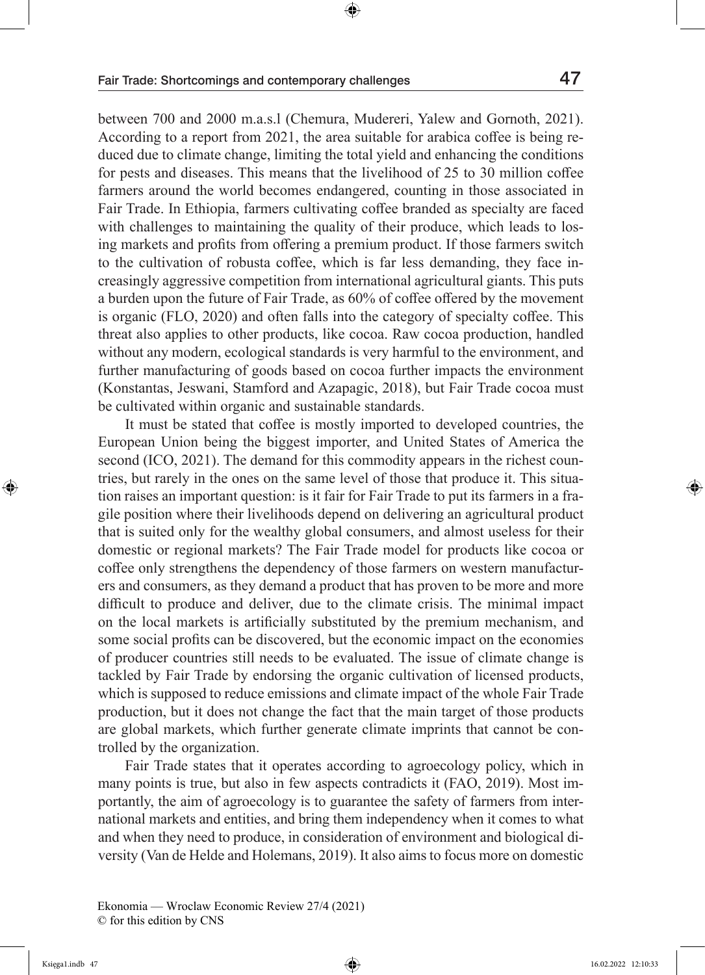between 700 and 2000 m.a.s.l (Chemura, Mudereri, Yalew and Gornoth, 2021). According to a report from 2021, the area suitable for arabica coffee is being reduced due to climate change, limiting the total yield and enhancing the conditions for pests and diseases. This means that the livelihood of 25 to 30 million coffee farmers around the world becomes endangered, counting in those associated in Fair Trade. In Ethiopia, farmers cultivating coffee branded as specialty are faced with challenges to maintaining the quality of their produce, which leads to losing markets and profits from offering a premium product. If those farmers switch to the cultivation of robusta coffee, which is far less demanding, they face increasingly aggressive competition from international agricultural giants. This puts a burden upon the future of Fair Trade, as 60% of coffee offered by the movement is organic (FLO, 2020) and often falls into the category of specialty coffee. This threat also applies to other products, like cocoa. Raw cocoa production, handled without any modern, ecological standards is very harmful to the environment, and further manufacturing of goods based on cocoa further impacts the environment (Konstantas, Jeswani, Stamford and Azapagic, 2018), but Fair Trade cocoa must be cultivated within organic and sustainable standards.

It must be stated that coffee is mostly imported to developed countries, the European Union being the biggest importer, and United States of America the second (ICO, 2021). The demand for this commodity appears in the richest countries, but rarely in the ones on the same level of those that produce it. This situation raises an important question: is it fair for Fair Trade to put its farmers in a fragile position where their livelihoods depend on delivering an agricultural product that is suited only for the wealthy global consumers, and almost useless for their domestic or regional markets? The Fair Trade model for products like cocoa or coffee only strengthens the dependency of those farmers on western manufacturers and consumers, as they demand a product that has proven to be more and more difficult to produce and deliver, due to the climate crisis. The minimal impact on the local markets is artificially substituted by the premium mechanism, and some social profits can be discovered, but the economic impact on the economies of producer countries still needs to be evaluated. The issue of climate change is tackled by Fair Trade by endorsing the organic cultivation of licensed products, which is supposed to reduce emissions and climate impact of the whole Fair Trade production, but it does not change the fact that the main target of those products are global markets, which further generate climate imprints that cannot be controlled by the organization.

Fair Trade states that it operates according to agroecology policy, which in many points is true, but also in few aspects contradicts it (FAO, 2019). Most importantly, the aim of agroecology is to guarantee the safety of farmers from international markets and entities, and bring them independency when it comes to what and when they need to produce, in consideration of environment and biological diversity (Van de Helde and Holemans, 2019). It also aims to focus more on domestic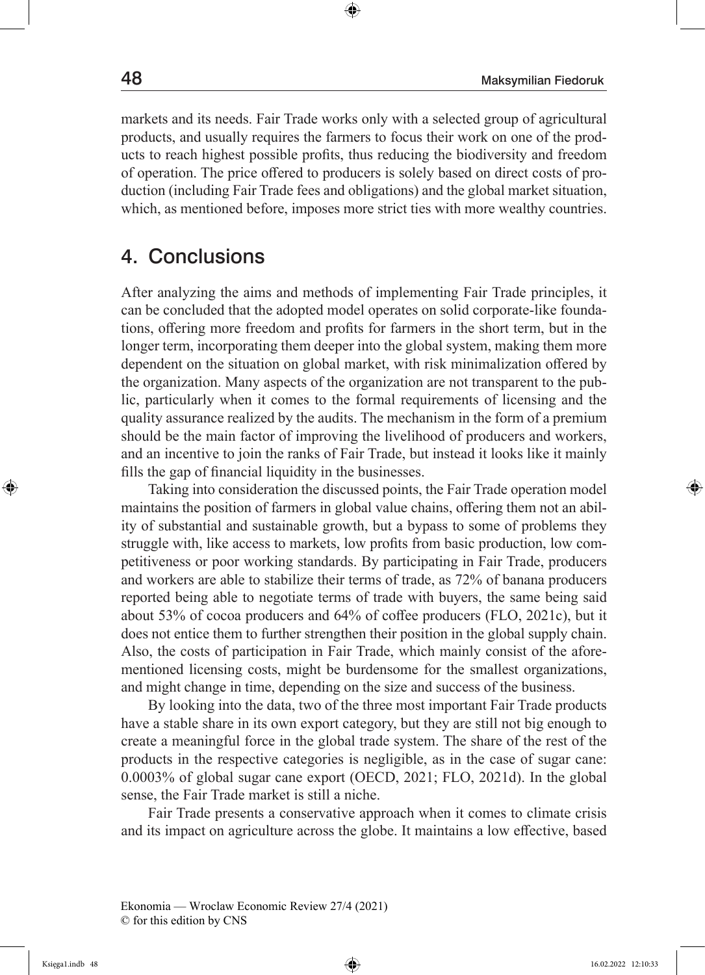markets and its needs. Fair Trade works only with a selected group of agricultural products, and usually requires the farmers to focus their work on one of the products to reach highest possible profits, thus reducing the biodiversity and freedom of operation. The price offered to producers is solely based on direct costs of production (including Fair Trade fees and obligations) and the global market situation, which, as mentioned before, imposes more strict ties with more wealthy countries.

### 4. Conclusions

After analyzing the aims and methods of implementing Fair Trade principles, it can be concluded that the adopted model operates on solid corporate-like foundations, offering more freedom and profits for farmers in the short term, but in the longer term, incorporating them deeper into the global system, making them more dependent on the situation on global market, with risk minimalization offered by the organization. Many aspects of the organization are not transparent to the public, particularly when it comes to the formal requirements of licensing and the quality assurance realized by the audits. The mechanism in the form of a premium should be the main factor of improving the livelihood of producers and workers, and an incentive to join the ranks of Fair Trade, but instead it looks like it mainly fills the gap of financial liquidity in the businesses.

Taking into consideration the discussed points, the Fair Trade operation model maintains the position of farmers in global value chains, offering them not an ability of substantial and sustainable growth, but a bypass to some of problems they struggle with, like access to markets, low profits from basic production, low competitiveness or poor working standards. By participating in Fair Trade, producers and workers are able to stabilize their terms of trade, as 72% of banana producers reported being able to negotiate terms of trade with buyers, the same being said about 53% of cocoa producers and 64% of coffee producers (FLO, 2021c), but it does not entice them to further strengthen their position in the global supply chain. Also, the costs of participation in Fair Trade, which mainly consist of the aforementioned licensing costs, might be burdensome for the smallest organizations, and might change in time, depending on the size and success of the business.

By looking into the data, two of the three most important Fair Trade products have a stable share in its own export category, but they are still not big enough to create a meaningful force in the global trade system. The share of the rest of the products in the respective categories is negligible, as in the case of sugar cane: 0.0003% of global sugar cane export (OECD, 2021; FLO, 2021d). In the global sense, the Fair Trade market is still a niche.

Fair Trade presents a conservative approach when it comes to climate crisis and its impact on agriculture across the globe. It maintains a low effective, based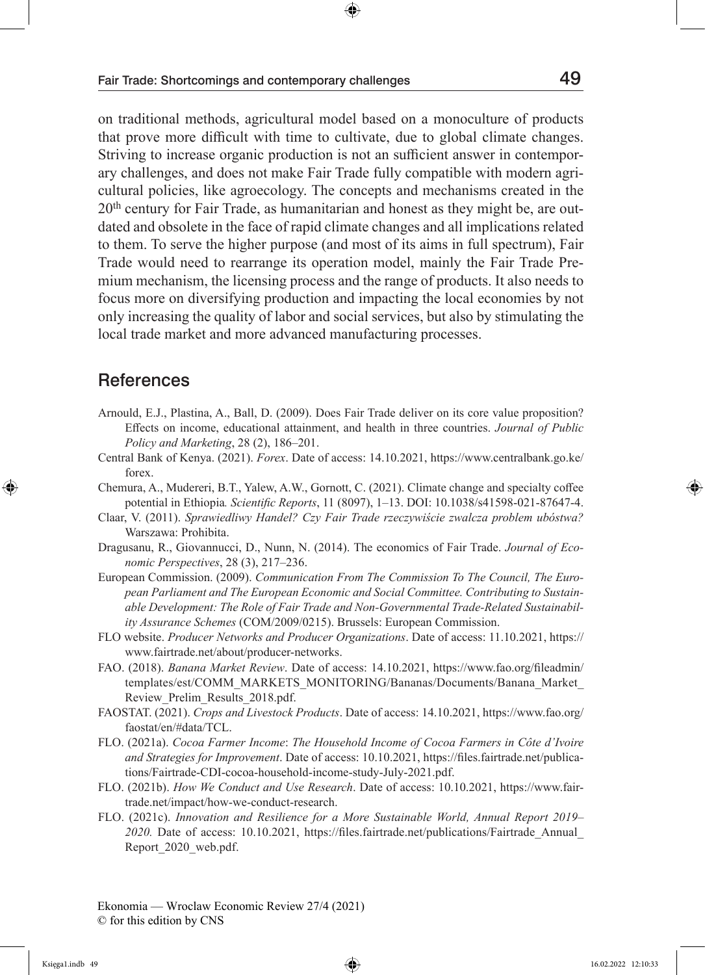on traditional methods, agricultural model based on a monoculture of products that prove more difficult with time to cultivate, due to global climate changes. Striving to increase organic production is not an sufficient answer in contemporary challenges, and does not make Fair Trade fully compatible with modern agricultural policies, like agroecology. The concepts and mechanisms created in the 20th century for Fair Trade, as humanitarian and honest as they might be, are outdated and obsolete in the face of rapid climate changes and all implications related to them. To serve the higher purpose (and most of its aims in full spectrum), Fair Trade would need to rearrange its operation model, mainly the Fair Trade Premium mechanism, the licensing process and the range of products. It also needs to focus more on diversifying production and impacting the local economies by not only increasing the quality of labor and social services, but also by stimulating the local trade market and more advanced manufacturing processes.

#### **References**

- Arnould, E.J., Plastina, A., Ball, D. (2009). Does Fair Trade deliver on its core value proposition? Effects on income, educational attainment, and health in three countries. *Journal of Public Policy and Marketing*, 28 (2), 186–201.
- Central Bank of Kenya. (2021). *Forex*. Date of access: 14.10.2021, https://www.centralbank.go.ke/ forex.
- Chemura, A., Mudereri, B.T., Yalew, A.W., Gornott, C. (2021). Climate change and specialty coffee potential in Ethiopia*. Scientific Reports*, 11 (8097), 1–13. DOI: 10.1038/s41598-021-87647-4.
- Claar, V. (2011). *Sprawiedliwy Handel? Czy Fair Trade rzeczywiście zwalcza problem ubóstwa?* Warszawa: Prohibita.
- Dragusanu, R., Giovannucci, D., Nunn, N. (2014). The economics of Fair Trade. *Journal of Economic Perspectives*, 28 (3), 217–236.
- European Commission. (2009). *Communication From The Commission To The Council, The European Parliament and The European Economic and Social Committee. Contributing to Sustainable Development: The Role of Fair Trade and Non-Governmental Trade-Related Sustainability Assurance Schemes* (COM/2009/0215). Brussels: European Commission.
- FLO website. *Producer Networks and Producer Organizations*. Date of access: 11.10.2021, https:// www.fairtrade.net/about/producer-networks.
- FAO. (2018). *Banana Market Review*. Date of access: 14.10.2021, https://www.fao.org/fileadmin/ templates/est/COMM\_MARKETS\_MONITORING/Bananas/Documents/Banana\_Market\_ Review\_Prelim\_Results\_2018.pdf.
- FAOSTAT. (2021). *Crops and Livestock Products*. Date of access: 14.10.2021, https://www.fao.org/ faostat/en/#data/TCL.
- FLO. (2021a). *Cocoa Farmer Income*: *The Household Income of Cocoa Farmers in Côte d'Ivoire and Strategies for Improvement*. Date of access: 10.10.2021, https://files.fairtrade.net/publications/Fairtrade-CDI-cocoa-household-income-study-July-2021.pdf.
- FLO. (2021b). *How We Conduct and Use Research*. Date of access: 10.10.2021, https://www.fairtrade.net/impact/how-we-conduct-research.
- FLO. (2021c). *Innovation and Resilience for a More Sustainable World, Annual Report 2019– 2020.* Date of access: 10.10.2021, https://files.fairtrade.net/publications/Fairtrade\_Annual\_ Report\_2020\_web.pdf.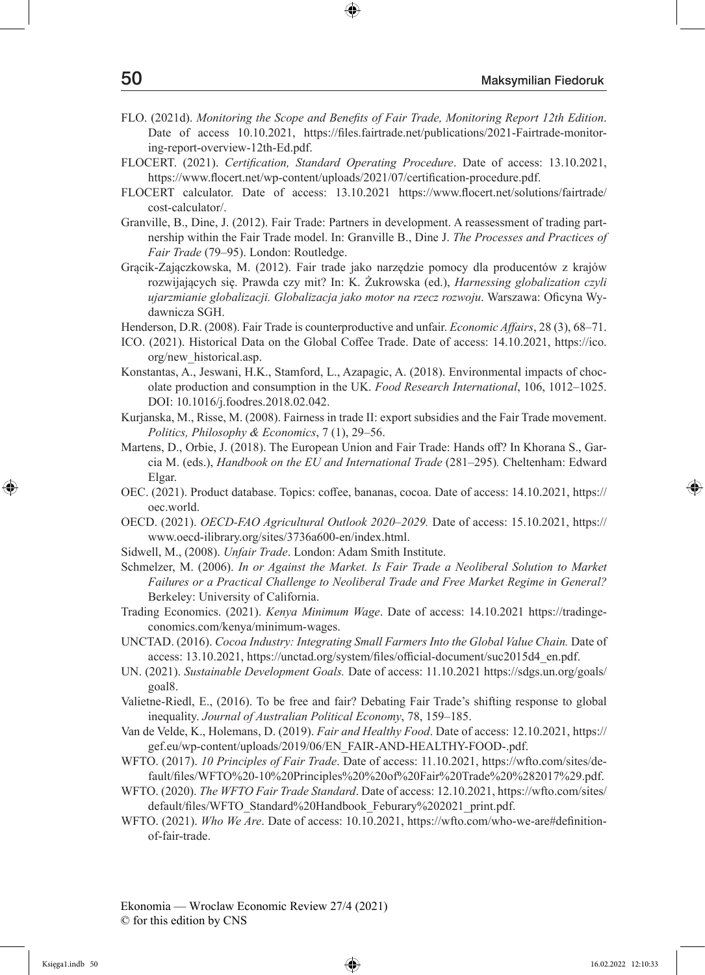- FLO. (2021d). *Monitoring the Scope and Benefits of Fair Trade, Monitoring Report 12th Edition*. Date of access 10.10.2021, https://files.fairtrade.net/publications/2021-Fairtrade-monitoring-report-overview-12th-Ed.pdf.
- FLOCERT. (2021). *Certification, Standard Operating Procedure*. Date of access: 13.10.2021, https://www.flocert.net/wp-content/uploads/2021/07/certification-procedure.pdf.
- FLOCERT calculator. Date of access: 13.10.2021 https://www.flocert.net/solutions/fairtrade/ cost-calculator/.
- Granville, B., Dine, J. (2012). Fair Trade: Partners in development. A reassessment of trading partnership within the Fair Trade model. In: Granville B., Dine J. *The Processes and Practices of Fair Trade* (79–95). London: Routledge.
- Grącik-Zajączkowska, M. (2012). Fair trade jako narzędzie pomocy dla producentów z krajów rozwijających się. Prawda czy mit? In: K. Żukrowska (ed.), *Harnessing globalization czyli ujarzmianie globalizacji. Globalizacja jako motor na rzecz rozwoju*. Warszawa: Oficyna Wydawnicza SGH.
- Henderson, D.R. (2008). Fair Trade is counterproductive and unfair. *Economic Affairs*, 28 (3), 68–71.
- ICO. (2021). Historical Data on the Global Coffee Trade. Date of access: 14.10.2021, https://ico. org/new\_historical.asp.
- Konstantas, A., Jeswani, H.K., Stamford, L., Azapagic, A. (2018). Environmental impacts of chocolate production and consumption in the UK. *Food Research International*, 106, 1012–1025. DOI: 10.1016/j.foodres.2018.02.042.
- Kurjanska, M., Risse, M. (2008). Fairness in trade II: export subsidies and the Fair Trade movement. *Politics, Philosophy & Economics*, 7 (1), 29–56.
- Martens, D., Orbie, J. (2018). The European Union and Fair Trade: Hands off? In Khorana S., Garcia M. (eds.), *Handbook on the EU and International Trade* (281–295)*.* Cheltenham: Edward Elgar.
- OEC. (2021). Product database. Topics: coffee, bananas, cocoa. Date of access: 14.10.2021, https:// oec.world.
- OECD. (2021). *OECD-FAO Agricultural Outlook 2020–2029.* Date of access: 15.10.2021, https:// www.oecd-ilibrary.org/sites/3736a600-en/index.html.
- Sidwell, M., (2008). *Unfair Trade*. London: Adam Smith Institute.
- Schmelzer, M. (2006). *In or Against the Market. Is Fair Trade a Neoliberal Solution to Market Failures or a Practical Challenge to Neoliberal Trade and Free Market Regime in General?*  Berkeley: University of California.
- Trading Economics. (2021). *Kenya Minimum Wage*. Date of access: 14.10.2021 https://tradingeconomics.com/kenya/minimum-wages.
- UNCTAD. (2016). *Cocoa Industry: Integrating Small Farmers Into the Global Value Chain.* Date of access: 13.10.2021, https://unctad.org/system/files/official-document/suc2015d4\_en.pdf.
- UN. (2021). *Sustainable Development Goals.* Date of access: 11.10.2021 https://sdgs.un.org/goals/ goal8.
- Valietne-Riedl, E., (2016). To be free and fair? Debating Fair Trade's shifting response to global inequality. *Journal of Australian Political Economy*, 78, 159–185.
- Van de Velde, K., Holemans, D. (2019). *Fair and Healthy Food*. Date of access: 12.10.2021, https:// gef.eu/wp-content/uploads/2019/06/EN\_FAIR-AND-HEALTHY-FOOD-.pdf.
- WFTO. (2017). *10 Principles of Fair Trade*. Date of access: 11.10.2021, https://wfto.com/sites/default/files/WFTO%20-10%20Principles%20%20of%20Fair%20Trade%20%282017%29.pdf.
- WFTO. (2020). *The WFTO Fair Trade Standard*. Date of access: 12.10.2021, https://wfto.com/sites/ default/files/WFTO\_Standard%20Handbook\_Feburary%202021\_print.pdf.
- WFTO. (2021). *Who We Are*. Date of access: 10.10.2021, https://wfto.com/who-we-are#definitionof-fair-trade.